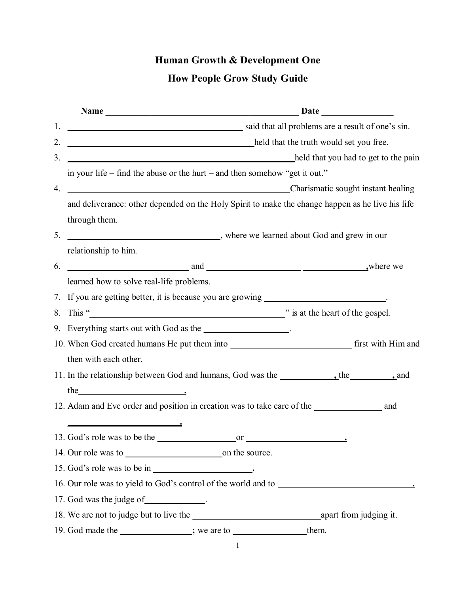## **Human Growth & Development One**

## **How People Grow Study Guide**

|                                          | Name Date Date Date                                                                                                                                                                                                                  |                                        |  |  |
|------------------------------------------|--------------------------------------------------------------------------------------------------------------------------------------------------------------------------------------------------------------------------------------|----------------------------------------|--|--|
| 1.                                       | said that all problems are a result of one's sin.                                                                                                                                                                                    |                                        |  |  |
| 2.                                       |                                                                                                                                                                                                                                      | and that the truth would set you free. |  |  |
| 3.                                       | held that you had to get to the pain                                                                                                                                                                                                 |                                        |  |  |
|                                          | in your life – find the abuse or the hurt – and then somehow "get it out."                                                                                                                                                           |                                        |  |  |
| Charismatic sought instant healing<br>4. |                                                                                                                                                                                                                                      |                                        |  |  |
|                                          | and deliverance: other depended on the Holy Spirit to make the change happen as he live his life                                                                                                                                     |                                        |  |  |
|                                          | through them.                                                                                                                                                                                                                        |                                        |  |  |
| 5.                                       | where we learned about God and grew in our                                                                                                                                                                                           |                                        |  |  |
|                                          | relationship to him.                                                                                                                                                                                                                 |                                        |  |  |
| 6.                                       | where we will not and and some and some set of the set of the set of the set of the set of the set of the set of the set of the set of the set of the set of the set of the set of the set of the set of the set of the set of       |                                        |  |  |
|                                          | learned how to solve real-life problems.                                                                                                                                                                                             |                                        |  |  |
|                                          | 7. If you are getting better, it is because you are growing __________________________.                                                                                                                                              |                                        |  |  |
| 8.                                       | This " <u>Note</u> that the heart of the gospel. <sup>2</sup> is at the heart of the gospel.                                                                                                                                         |                                        |  |  |
|                                          | 9. Everything starts out with God as the __________________.                                                                                                                                                                         |                                        |  |  |
|                                          |                                                                                                                                                                                                                                      |                                        |  |  |
|                                          | then with each other.                                                                                                                                                                                                                |                                        |  |  |
|                                          |                                                                                                                                                                                                                                      |                                        |  |  |
|                                          | the <u>series and the series of the series of the series of the series of the series of the series of the series of the series of the series of the series of the series of the series of the series of the series of the series</u> |                                        |  |  |
|                                          |                                                                                                                                                                                                                                      |                                        |  |  |
|                                          |                                                                                                                                                                                                                                      |                                        |  |  |
|                                          | 13. God's role was to be the<br>or                                                                                                                                                                                                   |                                        |  |  |
|                                          |                                                                                                                                                                                                                                      |                                        |  |  |
|                                          |                                                                                                                                                                                                                                      |                                        |  |  |
|                                          | 16. Our role was to yield to God's control of the world and to                                                                                                                                                                       |                                        |  |  |
|                                          | 17. God was the judge of _____________.                                                                                                                                                                                              |                                        |  |  |
|                                          |                                                                                                                                                                                                                                      |                                        |  |  |
|                                          | 19. God made the subseted with the set of the set of the set of the set of the set of the set of the set of the set of the set of the set of the set of the set of the set of the set of the set of the set of the set of the        |                                        |  |  |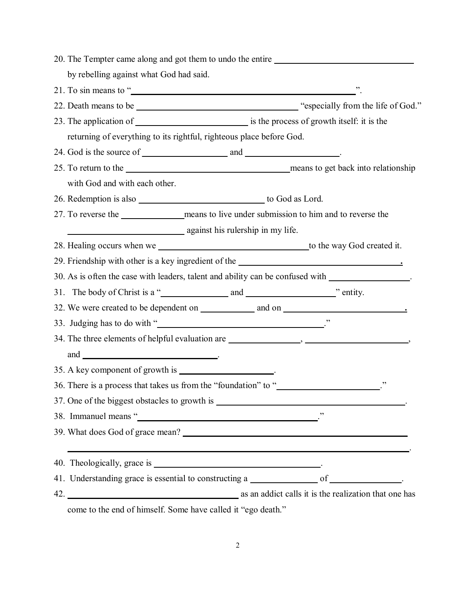| 20. The Tempter came along and got them to undo the entire                                                                                                                                                                           |  |                                               |  |
|--------------------------------------------------------------------------------------------------------------------------------------------------------------------------------------------------------------------------------------|--|-----------------------------------------------|--|
| by rebelling against what God had said.                                                                                                                                                                                              |  |                                               |  |
| 21. To sin means to " $\blacksquare$ "                                                                                                                                                                                               |  |                                               |  |
|                                                                                                                                                                                                                                      |  |                                               |  |
|                                                                                                                                                                                                                                      |  |                                               |  |
| returning of everything to its rightful, righteous place before God.                                                                                                                                                                 |  |                                               |  |
|                                                                                                                                                                                                                                      |  |                                               |  |
|                                                                                                                                                                                                                                      |  |                                               |  |
| with God and with each other.                                                                                                                                                                                                        |  |                                               |  |
| 26. Redemption is also subsequently also to God as Lord.                                                                                                                                                                             |  |                                               |  |
|                                                                                                                                                                                                                                      |  |                                               |  |
| against his rulership in my life.                                                                                                                                                                                                    |  |                                               |  |
| 28. Healing occurs when we serve that the same state of the way God created it.                                                                                                                                                      |  |                                               |  |
| 29. Friendship with other is a key ingredient of the <b>contract of the contract of the contract of the contract of the contract of the contract of the contract of the contract of the contract of the contract of the contract</b> |  |                                               |  |
| 30. As is often the case with leaders, talent and ability can be confused with __________________.                                                                                                                                   |  |                                               |  |
|                                                                                                                                                                                                                                      |  |                                               |  |
|                                                                                                                                                                                                                                      |  |                                               |  |
|                                                                                                                                                                                                                                      |  |                                               |  |
|                                                                                                                                                                                                                                      |  |                                               |  |
| and $\qquad \qquad$                                                                                                                                                                                                                  |  |                                               |  |
| 35. A key component of growth is ________________________.                                                                                                                                                                           |  |                                               |  |
| 36. There is a process that takes us from the "foundation" to "                                                                                                                                                                      |  |                                               |  |
|                                                                                                                                                                                                                                      |  |                                               |  |
| 38. Immanuel means " Contact Texas Contact Texas Contact Texas Contact Texas Contact Texas Contact Texas Contact Texas Contact Texas Contact Texas Contact Texas Contact Texas Contact Texas Contact Texas Contact Texas Conta       |  |                                               |  |
|                                                                                                                                                                                                                                      |  |                                               |  |
|                                                                                                                                                                                                                                      |  | <u> 1989 - Andrea Andrew Maria (h. 1989).</u> |  |
| 41. Understanding grace is essential to constructing a _________________ of _____________.                                                                                                                                           |  |                                               |  |
| 42. <b>All as an addict calls it is the realization that one has</b> as an addict calls it is the realization that one has                                                                                                           |  |                                               |  |

come to the end of himself. Some have called it "ego death."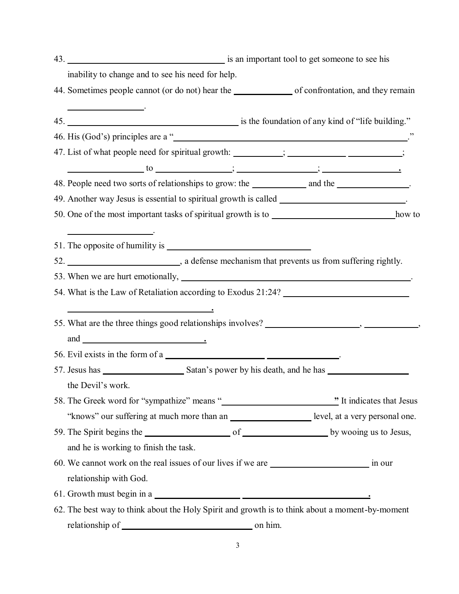|  | inability to change and to see his need for help.                                                                                                                                                                                                                                                |  |
|--|--------------------------------------------------------------------------------------------------------------------------------------------------------------------------------------------------------------------------------------------------------------------------------------------------|--|
|  | 44. Sometimes people cannot (or do not) hear the same of confrontation, and they remain                                                                                                                                                                                                          |  |
|  |                                                                                                                                                                                                                                                                                                  |  |
|  |                                                                                                                                                                                                                                                                                                  |  |
|  | 46. His (God's) principles are a "                                                                                                                                                                                                                                                               |  |
|  | 47. List of what people need for spiritual growth: _________; _____________________;                                                                                                                                                                                                             |  |
|  | $\frac{1}{2}$ to $\frac{1}{2}$ is $\frac{1}{2}$ is $\frac{1}{2}$ is $\frac{1}{2}$ is $\frac{1}{2}$ is $\frac{1}{2}$ is $\frac{1}{2}$ is $\frac{1}{2}$ is $\frac{1}{2}$ is $\frac{1}{2}$ is $\frac{1}{2}$ is $\frac{1}{2}$ is $\frac{1}{2}$ is $\frac{1}{2}$ is $\frac{1}{2}$ is $\frac{1}{2}$ is |  |
|  | 48. People need two sorts of relationships to grow: the __________________________.                                                                                                                                                                                                              |  |
|  |                                                                                                                                                                                                                                                                                                  |  |
|  | 50. One of the most important tasks of spiritual growth is to https://www.com/2010/2010/2010                                                                                                                                                                                                     |  |
|  | <u> 1989 - Jan Sarajević, politik i postala i postala i postala i postala i postala i postala i postala i postala</u>                                                                                                                                                                            |  |
|  |                                                                                                                                                                                                                                                                                                  |  |
|  |                                                                                                                                                                                                                                                                                                  |  |
|  |                                                                                                                                                                                                                                                                                                  |  |
|  | 54. What is the Law of Retaliation according to Exodus 21:24?                                                                                                                                                                                                                                    |  |
|  |                                                                                                                                                                                                                                                                                                  |  |
|  |                                                                                                                                                                                                                                                                                                  |  |
|  |                                                                                                                                                                                                                                                                                                  |  |
|  | 56. Evil exists in the form of a                                                                                                                                                                                                                                                                 |  |
|  |                                                                                                                                                                                                                                                                                                  |  |
|  | the Devil's work.                                                                                                                                                                                                                                                                                |  |
|  |                                                                                                                                                                                                                                                                                                  |  |
|  | "knows" our suffering at much more than an _______________________ level, at a very personal one.                                                                                                                                                                                                |  |
|  | 59. The Spirit begins the subset of subset of subset of services by wooing us to Jesus,                                                                                                                                                                                                          |  |
|  | and he is working to finish the task.                                                                                                                                                                                                                                                            |  |
|  |                                                                                                                                                                                                                                                                                                  |  |
|  | relationship with God.                                                                                                                                                                                                                                                                           |  |
|  | 61. Growth must begin in a                                                                                                                                                                                                                                                                       |  |
|  | 62. The best way to think about the Holy Spirit and growth is to think about a moment-by-moment                                                                                                                                                                                                  |  |
|  |                                                                                                                                                                                                                                                                                                  |  |
|  |                                                                                                                                                                                                                                                                                                  |  |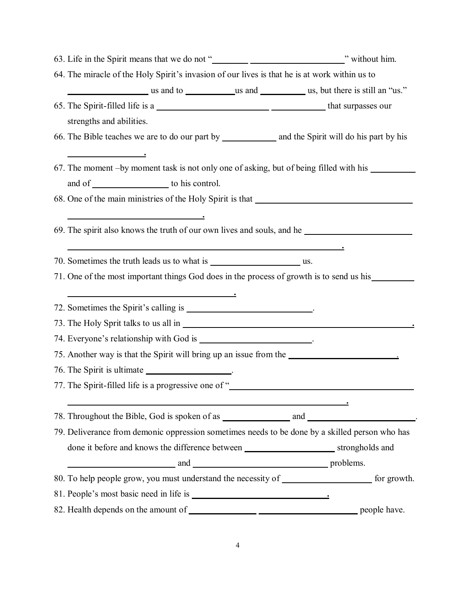| 64. The miracle of the Holy Spirit's invasion of our lives is that he is at work within us to                                                                                                                                              |  |
|--------------------------------------------------------------------------------------------------------------------------------------------------------------------------------------------------------------------------------------------|--|
| us and to use and to use and use and use and use, but there is still an "us."                                                                                                                                                              |  |
|                                                                                                                                                                                                                                            |  |
| strengths and abilities.                                                                                                                                                                                                                   |  |
|                                                                                                                                                                                                                                            |  |
|                                                                                                                                                                                                                                            |  |
| 67. The moment -by moment task is not only one of asking, but of being filled with his ____________                                                                                                                                        |  |
| and of to his control.                                                                                                                                                                                                                     |  |
| 68. One of the main ministries of the Holy Spirit is that                                                                                                                                                                                  |  |
| $\overline{\phantom{a}}$ . The contract of the contract of the contract of the contract of the contract of the contract of the contract of the contract of the contract of the contract of the contract of the contract of the contract of |  |
| 69. The spirit also knows the truth of our own lives and souls, and he                                                                                                                                                                     |  |
|                                                                                                                                                                                                                                            |  |
|                                                                                                                                                                                                                                            |  |
| 71. One of the most important things God does in the process of growth is to send us his second us his second us his second us his second us his second us his second us his second us his second us his second us his second              |  |
|                                                                                                                                                                                                                                            |  |
| 72. Sometimes the Spirit's calling is _______________________________.                                                                                                                                                                     |  |
|                                                                                                                                                                                                                                            |  |
| 74. Everyone's relationship with God is ___________________________.                                                                                                                                                                       |  |
| 75. Another way is that the Spirit will bring up an issue from the                                                                                                                                                                         |  |
| 76. The Spirit is ultimate ___________________.                                                                                                                                                                                            |  |
| 77. The Spirit-filled life is a progressive one of "                                                                                                                                                                                       |  |
|                                                                                                                                                                                                                                            |  |
|                                                                                                                                                                                                                                            |  |
| 79. Deliverance from demonic oppression sometimes needs to be done by a skilled person who has                                                                                                                                             |  |
|                                                                                                                                                                                                                                            |  |
| example and and and and and and a problems.                                                                                                                                                                                                |  |
| 80. To help people grow, you must understand the necessity of ___________________ for growth.                                                                                                                                              |  |
|                                                                                                                                                                                                                                            |  |
|                                                                                                                                                                                                                                            |  |

4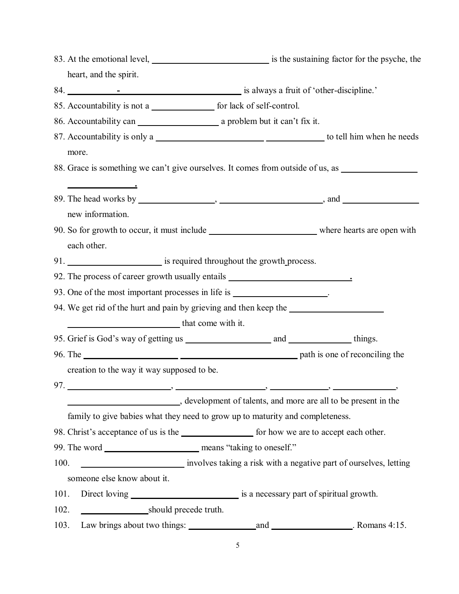|      |                                                                          | 83. At the emotional level, <u>entitled</u> is the sustaining factor for the psyche, the                                                                                                                                       |
|------|--------------------------------------------------------------------------|--------------------------------------------------------------------------------------------------------------------------------------------------------------------------------------------------------------------------------|
|      | heart, and the spirit.                                                   |                                                                                                                                                                                                                                |
|      |                                                                          |                                                                                                                                                                                                                                |
|      | 85. Accountability is not a<br><u>Lettical</u> for lack of self-control. |                                                                                                                                                                                                                                |
|      |                                                                          |                                                                                                                                                                                                                                |
|      |                                                                          |                                                                                                                                                                                                                                |
|      | more.                                                                    |                                                                                                                                                                                                                                |
|      |                                                                          | 88. Grace is something we can't give ourselves. It comes from outside of us, as                                                                                                                                                |
|      |                                                                          |                                                                                                                                                                                                                                |
|      |                                                                          |                                                                                                                                                                                                                                |
|      | new information.                                                         |                                                                                                                                                                                                                                |
|      |                                                                          | 90. So for growth to occur, it must include where hearts are open with                                                                                                                                                         |
|      | each other.                                                              |                                                                                                                                                                                                                                |
|      |                                                                          |                                                                                                                                                                                                                                |
|      |                                                                          | 92. The process of career growth usually entails _______________________________                                                                                                                                               |
|      |                                                                          | 93. One of the most important processes in life is ___________________.                                                                                                                                                        |
|      |                                                                          | 94. We get rid of the hurt and pain by grieving and then keep the                                                                                                                                                              |
|      | that come with it.                                                       |                                                                                                                                                                                                                                |
|      |                                                                          |                                                                                                                                                                                                                                |
|      |                                                                          | 96. The path is one of reconciling the                                                                                                                                                                                         |
|      | creation to the way it way supposed to be.                               |                                                                                                                                                                                                                                |
|      |                                                                          |                                                                                                                                                                                                                                |
|      |                                                                          | development of talents, and more are all to be present in the                                                                                                                                                                  |
|      |                                                                          | family to give babies what they need to grow up to maturity and completeness.                                                                                                                                                  |
|      |                                                                          | 98. Christ's acceptance of us is the subset of the set of the set of the set of the set of the set of the set of the set of the set of the set of the set of the set of the set of the set of the set of the set of the set of |
|      |                                                                          |                                                                                                                                                                                                                                |
| 100. |                                                                          | involves taking a risk with a negative part of ourselves, letting                                                                                                                                                              |
|      | someone else know about it.                                              |                                                                                                                                                                                                                                |
| 101. |                                                                          |                                                                                                                                                                                                                                |
| 102. | should precede truth.                                                    |                                                                                                                                                                                                                                |
| 103. |                                                                          |                                                                                                                                                                                                                                |

5